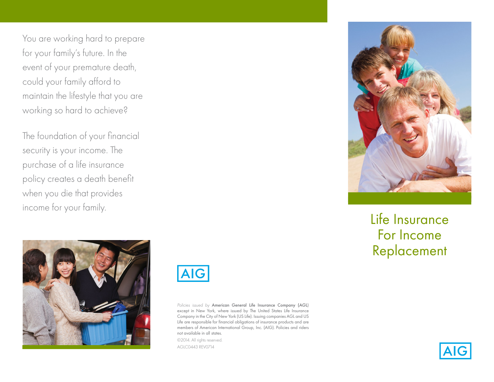You are working hard to prepare for your family's future. In the event of your premature death, could your family afford to maintain the lifestyle that you are working so hard to achieve?

The foundation of your financial security is your income. The purchase of a life insurance policy creates a death benefit when you die that provides income for your family.





*Policies issued by* American General Life Insurance Company (AGL) except in New York, where issued by The United States Life Insurance Company in the City of New York (US Life). Issuing companies AGL and US Life are responsible for financial obligations of insurance products and are members of American International Group, Inc. (AIG). Policies and riders not available in all states.

©2014. All rights reserved. AGLC0443 REV0714



# Life Insurance For Income Replacement